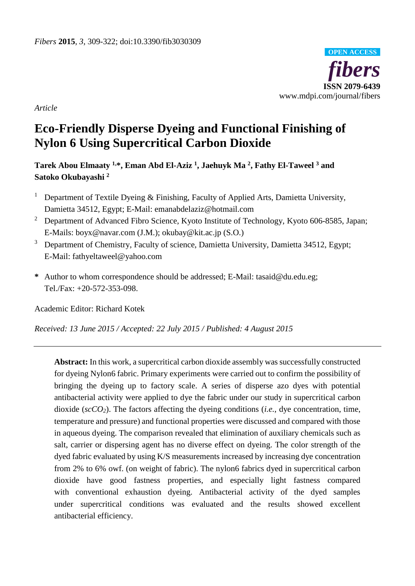

*Article*

# **Eco-Friendly Disperse Dyeing and Functional Finishing of Nylon 6 Using Supercritical Carbon Dioxide**

**Tarek Abou Elmaaty 1,\*, Eman Abd El-Aziz <sup>1</sup> , Jaehuyk Ma <sup>2</sup> , Fathy El-Taweel <sup>3</sup> and Satoko Okubayashi <sup>2</sup>**

- <sup>1</sup> Department of Textile Dyeing & Finishing, Faculty of Applied Arts, Damietta University, Damietta 34512, Egypt; E-Mail: emanabdelaziz@hotmail.com
- <sup>2</sup> Department of Advanced Fibro Science, Kyoto Institute of Technology, Kyoto 606-8585, Japan; E-Mails: boyx@navar.com (J.M.); okubay@kit.ac.jp (S.O.)
- <sup>3</sup> Department of Chemistry, Faculty of science, Damietta University, Damietta 34512, Egypt; E-Mail: fathyeltaweel@yahoo.com
- **\*** Author to whom correspondence should be addressed; E-Mail: [tasaid@du.edu.eg;](mailto:tasaid@du.edu.eg) Tel./Fax: +20-572-353-098.

Academic Editor: Richard Kotek

*Received: 13 June 2015 / Accepted: 22 July 2015 / Published: 4 August 2015*

**Abstract:** In this work, a supercritical carbon dioxide assembly was successfully constructed for dyeing Nylon6 fabric. Primary experiments were carried out to confirm the possibility of bringing the dyeing up to factory scale. A series of disperse azo dyes with potential antibacterial activity were applied to dye the fabric under our study in supercritical carbon dioxide (*scCO2*). The factors affecting the dyeing conditions (*i.e.*, dye concentration, time, temperature and pressure) and functional properties were discussed and compared with those in aqueous dyeing. The comparison revealed that elimination of auxiliary chemicals such as salt, carrier or dispersing agent has no diverse effect on dyeing. The color strength of the dyed fabric evaluated by using K/S measurements increased by increasing dye concentration from 2% to 6% owf. (on weight of fabric). The nylon6 fabrics dyed in supercritical carbon dioxide have good fastness properties, and especially light fastness compared with conventional exhaustion dyeing. Antibacterial activity of the dyed samples under supercritical conditions was evaluated and the results showed excellent antibacterial efficiency.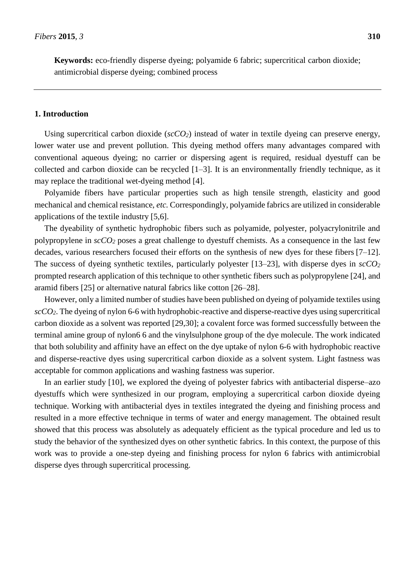**Keywords:** eco-friendly disperse dyeing; polyamide 6 fabric; supercritical carbon dioxide; antimicrobial disperse dyeing; combined process

#### **1. Introduction**

Using supercritical carbon dioxide ( $\sec CO_2$ ) instead of water in textile dyeing can preserve energy, lower water use and prevent pollution. This dyeing method offers many advantages compared with conventional aqueous dyeing; no carrier or dispersing agent is required, residual dyestuff can be collected and carbon dioxide can be recycled [1–3]. It is an environmentally friendly technique, as it may replace the traditional wet-dyeing method [4].

Polyamide fibers have particular properties such as high tensile strength, elasticity and good mechanical and chemical resistance, *etc.* Correspondingly, polyamide fabrics are utilized in considerable applications of the textile industry [5,6].

The dyeability of synthetic hydrophobic fibers such as polyamide, polyester, polyacrylonitrile and polypropylene in *scCO<sup>2</sup>* poses a great challenge to dyestuff chemists. As a consequence in the last few decades, various researchers focused their efforts on the synthesis of new dyes for these fibers [7–12]. The success of dyeing synthetic textiles, particularly polyester [13–23], with disperse dyes in *scCO<sup>2</sup>* prompted research application of this technique to other synthetic fibers such as polypropylene [24], and aramid fibers [25] or alternative natural fabrics like cotton [26–28].

However, only a limited number of studies have been published on dyeing of polyamide textiles using *scCO2*. The dyeing of nylon 6-6 with hydrophobic-reactive and disperse-reactive dyes using supercritical carbon dioxide as a solvent was reported [29,30]; a covalent force was formed successfully between the terminal amine group of nylon6 6 and the vinylsulphone group of the dye molecule. The work indicated that both solubility and affinity have an effect on the dye uptake of nylon 6-6 with hydrophobic reactive and disperse-reactive dyes using supercritical carbon dioxide as a solvent system. Light fastness was acceptable for common applications and washing fastness was superior.

In an earlier study [10], we explored the dyeing of polyester fabrics with antibacterial disperse–azo dyestuffs which were synthesized in our program, employing a supercritical carbon dioxide dyeing technique. Working with antibacterial dyes in textiles integrated the dyeing and finishing process and resulted in a more effective technique in terms of water and energy management. The obtained result showed that this process was absolutely as adequately efficient as the typical procedure and led us to study the behavior of the synthesized dyes on other synthetic fabrics. In this context, the purpose of this work was to provide a one-step dyeing and finishing process for nylon 6 fabrics with antimicrobial disperse dyes through supercritical processing.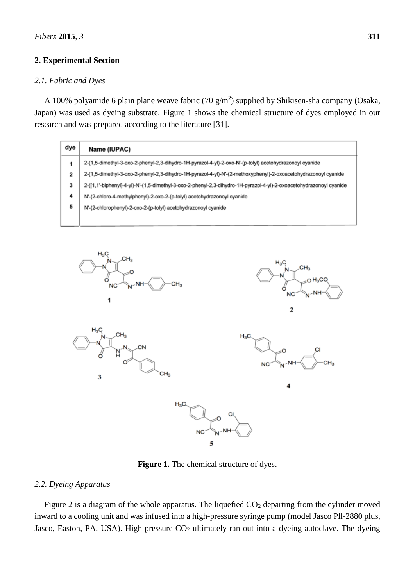# **2. Experimental Section**

# *2.1. Fabric and Dyes*

A 100% polyamide 6 plain plane weave fabric (70  $g/m<sup>2</sup>$ ) supplied by Shikisen-sha company (Osaka, Japan) was used as dyeing substrate. Figure 1 shows the chemical structure of dyes employed in our research and was prepared according to the literature [31].

| Name (IUPAC)                                                                                                        |
|---------------------------------------------------------------------------------------------------------------------|
| 2-(1,5-dimethyl-3-oxo-2-phenyl-2,3-dihydro-1H-pyrazol-4-yl)-2-oxo-N'-(p-tolyl) acetohydrazonoyl cyanide             |
| 2-(1,5-dimethyl-3-oxo-2-phenyl-2,3-dihydro-1H-pyrazol-4-yl)-N'-(2-methoxyphenyl)-2-oxoacetohydrazonoyl cyanide      |
| 2-([1,1'-biphenyl]-4-yl)-N'-(1,5-dimethyl-3-oxo-2-phenyl-2,3-dihydro-1H-pyrazol-4-yl)-2-oxoacetohydrazonoyl cyanide |
| N'-(2-chloro-4-methylphenyl)-2-oxo-2-(p-tolyl) acetohydrazonoyl cyanide                                             |
| N'-(2-chlorophenyl)-2-oxo-2-(p-tolyl) acetohydrazonoyl cyanide                                                      |
|                                                                                                                     |
|                                                                                                                     |



**Figure 1.** The chemical structure of dyes.

# *2.2. Dyeing Apparatus*

Figure 2 is a diagram of the whole apparatus. The liquefied  $CO<sub>2</sub>$  departing from the cylinder moved inward to a cooling unit and was infused into a high-pressure syringe pump (model Jasco Pll-2880 plus, Jasco, Easton, PA, USA). High-pressure  $CO<sub>2</sub>$  ultimately ran out into a dyeing autoclave. The dyeing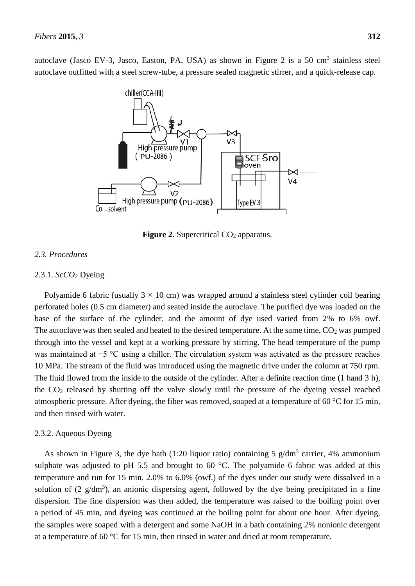autoclave (Jasco EV-3, Jasco, Easton, PA, USA) as shown in Figure 2 is a 50 cm<sup>3</sup> stainless steel autoclave outfitted with a steel screw-tube, a pressure sealed magnetic stirrer, and a quick-release cap.



**Figure 2.** Supercritical CO<sub>2</sub> apparatus.

## *2.3. Procedures*

#### 2.3.1. *ScCO<sup>2</sup>* Dyeing

Polyamide 6 fabric (usually  $3 \times 10$  cm) was wrapped around a stainless steel cylinder coil bearing perforated holes (0.5 cm diameter) and seated inside the autoclave. The purified dye was loaded on the base of the surface of the cylinder, and the amount of dye used varied from 2% to 6% owf. The autoclave was then sealed and heated to the desired temperature. At the same time,  $CO<sub>2</sub>$  was pumped through into the vessel and kept at a working pressure by stirring. The head temperature of the pump was maintained at −5 °C using a chiller. The circulation system was activated as the pressure reaches 10 MPa. The stream of the fluid was introduced using the magnetic drive under the column at 750 rpm. The fluid flowed from the inside to the outside of the cylinder. After a definite reaction time (1 hand 3 h), the CO<sup>2</sup> released by shutting off the valve slowly until the pressure of the dyeing vessel reached atmospheric pressure. After dyeing, the fiber was removed, soaped at a temperature of 60  $\degree$  for 15 min, and then rinsed with water.

#### 2.3.2. Aqueous Dyeing

As shown in Figure 3, the dye bath (1:20 liquor ratio) containing 5  $g/dm<sup>3</sup>$  carrier, 4% ammonium sulphate was adjusted to pH 5.5 and brought to 60  $\degree$ C. The polyamide 6 fabric was added at this temperature and run for 15 min. 2.0% to 6.0% (owf.) of the dyes under our study were dissolved in a solution of  $(2 \text{ g/dm}^3)$ , an anionic dispersing agent, followed by the dye being precipitated in a fine dispersion. The fine dispersion was then added, the temperature was raised to the boiling point over a period of 45 min, and dyeing was continued at the boiling point for about one hour. After dyeing, the samples were soaped with a detergent and some NaOH in a bath containing 2% nonionic detergent at a temperature of 60  $\degree$ C for 15 min, then rinsed in water and dried at room temperature.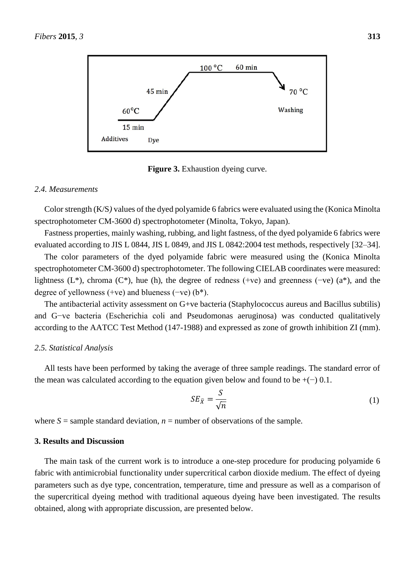

**Figure 3.** Exhaustion dyeing curve.

#### *2.4. Measurements*

Color strength (K/S*)* values of the dyed polyamide 6 fabrics were evaluated using the (Konica Minolta spectrophotometer CM-3600 d) spectrophotometer (Minolta, Tokyo, Japan).

Fastness properties, mainly washing, rubbing, and light fastness, of the dyed polyamide 6 fabrics were evaluated according to JIS L 0844, JIS L 0849, and JIS L 0842:2004 test methods, respectively [32–34].

The color parameters of the dyed polyamide fabric were measured using the (Konica Minolta spectrophotometer CM-3600 d) spectrophotometer. The following CIELAB coordinates were measured: lightness (L\*), chroma (C\*), hue (h), the degree of redness (+ve) and greenness (-ve) (a\*), and the degree of yellowness (+ve) and blueness (−ve) (b\*).

The antibacterial activity assessment on G+ve bacteria (Staphylococcus aureus and Bacillus subtilis) and G−ve bacteria (Escherichia coli and Pseudomonas aeruginosa) was conducted qualitatively according to the AATCC Test Method (147-1988) and expressed as zone of growth inhibition ZI (mm).

## *2.5. Statistical Analysis*

All tests have been performed by taking the average of three sample readings. The standard error of the mean was calculated according to the equation given below and found to be  $+(-)$  0.1.

$$
SE_{\bar{X}} = \frac{S}{\sqrt{n}}\tag{1}
$$

where  $S =$  sample standard deviation,  $n =$  number of observations of the sample.

# **3. Results and Discussion**

The main task of the current work is to introduce a one-step procedure for producing polyamide 6 fabric with antimicrobial functionality under supercritical carbon dioxide medium. The effect of dyeing parameters such as dye type, concentration, temperature, time and pressure as well as a comparison of the supercritical dyeing method with traditional aqueous dyeing have been investigated. The results obtained, along with appropriate discussion, are presented below.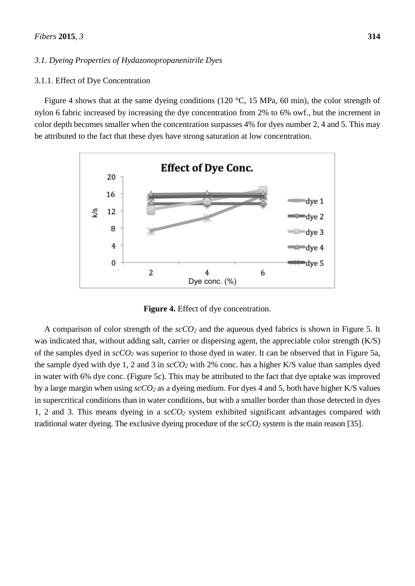#### *3.1. Dyeing Properties of Hydazonopropanenitrile Dyes*

## 3.1.1. Effect of Dye Concentration

Figure 4 shows that at the same dyeing conditions (120 °C, 15 MPa, 60 min), the color strength of nylon 6 fabric increased by increasing the dye concentration from 2% to 6% owf., but the increment in color depth becomes smaller when the concentration surpasses 4% for dyes number 2, 4 and 5. This may be attributed to the fact that these dyes have strong saturation at low concentration.



**Figure 4.** Effect of dye concentration.

A comparison of color strength of the *scCO<sup>2</sup>* and the aqueous dyed fabrics is shown in Figure 5. It was indicated that, without adding salt, carrier or dispersing agent, the appreciable color strength (K/S) of the samples dyed in *scCO<sup>2</sup>* was superior to those dyed in water. It can be observed that in Figure 5a, the sample dyed with dye 1, 2 and 3 in *scCO<sup>2</sup>* with 2% conc. has a higher K/S value than samples dyed in water with 6% dye conc. (Figure 5c). This may be attributed to the fact that dye uptake was improved by a large margin when using *scCO<sup>2</sup>* as a dyeing medium. For dyes 4 and 5, both have higher K/S values in supercritical conditions than in water conditions, but with a smaller border than those detected in dyes 1, 2 and 3. This means dyeing in a *scCO<sup>2</sup>* system exhibited significant advantages compared with traditional water dyeing. The exclusive dyeing procedure of the *scCO<sup>2</sup>* system is the main reason [35].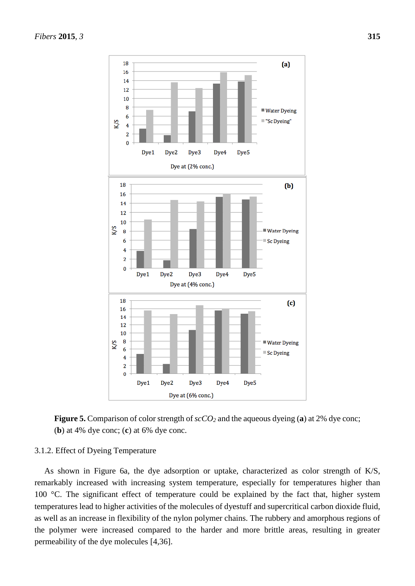



## 3.1.2. Effect of Dyeing Temperature

As shown in Figure 6a, the dye adsorption or uptake, characterized as color strength of K/S, remarkably increased with increasing system temperature, especially for temperatures higher than 100 °C. The significant effect of temperature could be explained by the fact that, higher system temperatures lead to higher activities of the molecules of dyestuff and supercritical carbon dioxide fluid, as well as an increase in flexibility of the nylon polymer chains. The rubbery and amorphous regions of the polymer were increased compared to the harder and more brittle areas, resulting in greater permeability of the dye molecules [4,36].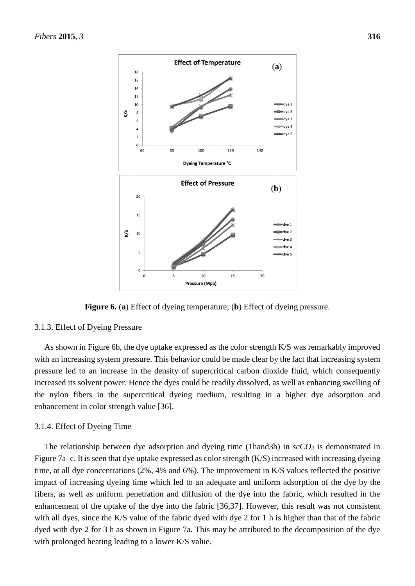

**Figure 6.** (**a**) Effect of dyeing temperature; (**b**) Effect of dyeing pressure.

## 3.1.3. Effect of Dyeing Pressure

As shown in Figure 6b, the dye uptake expressed as the color strength K/S was remarkably improved with an increasing system pressure. This behavior could be made clear by the fact that increasing system pressure led to an increase in the density of supercritical carbon dioxide fluid, which consequently increased its solvent power. Hence the dyes could be readily dissolved, as well as enhancing swelling of the nylon fibers in the supercritical dyeing medium, resulting in a higher dye adsorption and enhancement in color strength value [36].

## 3.1.4. Effect of Dyeing Time

The relationship between dye adsorption and dyeing time (1hand3h) in *scCO<sup>2</sup>* is demonstrated in Figure 7a–c. It is seen that dye uptake expressed as color strength (K/S) increased with increasing dyeing time, at all dye concentrations (2%, 4% and 6%). The improvement in K/S values reflected the positive impact of increasing dyeing time which led to an adequate and uniform adsorption of the dye by the fibers, as well as uniform penetration and diffusion of the dye into the fabric, which resulted in the enhancement of the uptake of the dye into the fabric [36,37]. However, this result was not consistent with all dyes, since the K/S value of the fabric dyed with dye 2 for 1 h is higher than that of the fabric dyed with dye 2 for 3 h as shown in Figure 7a. This may be attributed to the decomposition of the dye with prolonged heating leading to a lower K/S value.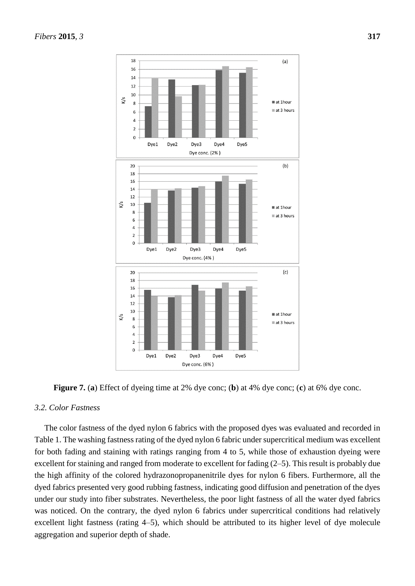

**Figure 7.** (**a**) Effect of dyeing time at 2% dye conc; (**b**) at 4% dye conc; (**c**) at 6% dye conc.

## *3.2. Color Fastness*

The color fastness of the dyed nylon 6 fabrics with the proposed dyes was evaluated and recorded in Table 1. The washing fastness rating of the dyed nylon 6 fabric under supercritical medium was excellent for both fading and staining with ratings ranging from 4 to 5, while those of exhaustion dyeing were excellent for staining and ranged from moderate to excellent for fading (2–5). This result is probably due the high affinity of the colored hydrazonopropanenitrile dyes for nylon 6 fibers. Furthermore, all the dyed fabrics presented very good rubbing fastness, indicating good diffusion and penetration of the dyes under our study into fiber substrates. Nevertheless, the poor light fastness of all the water dyed fabrics was noticed. On the contrary, the dyed nylon 6 fabrics under supercritical conditions had relatively excellent light fastness (rating 4–5), which should be attributed to its higher level of dye molecule aggregation and superior depth of shade.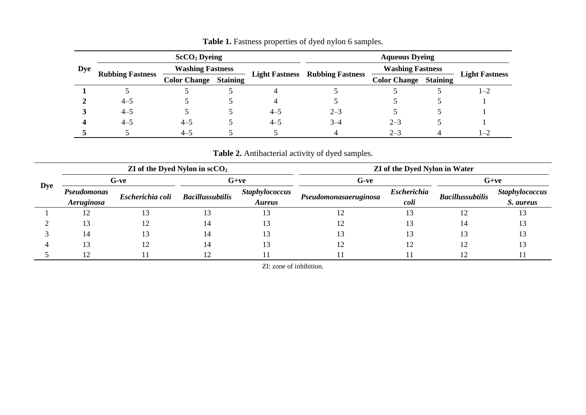|            | $\rm ScCO_2$ Dyeing     |                         |                 |                       | <b>Aqueous Dyeing</b>   |                         |                 |                       |
|------------|-------------------------|-------------------------|-----------------|-----------------------|-------------------------|-------------------------|-----------------|-----------------------|
| <b>Dye</b> | <b>Rubbing Fastness</b> | <b>Washing Fastness</b> |                 |                       |                         | <b>Washing Fastness</b> |                 |                       |
|            |                         | <b>Color Change</b>     | <b>Staining</b> | <b>Light Fastness</b> | <b>Rubbing Fastness</b> | <b>Color Change</b>     | <b>Staining</b> | <b>Light Fastness</b> |
|            |                         |                         |                 |                       |                         |                         |                 | 1–2                   |
|            | $4 - 5$                 |                         |                 | 4                     |                         |                         |                 |                       |
|            | $4 - 5$                 |                         |                 | $4 - 5$               | $2 - 3$                 |                         |                 |                       |
|            | $4 - 5$                 | $4 - 5$                 |                 | $4 - 5$               | $3 - 4$                 | $2 - 3$                 |                 |                       |
|            |                         | $4 - 5$                 |                 |                       | 4                       | $2 - 3$                 |                 | $1 - 2$               |

Table 1. Fastness properties of dyed nylon 6 samples.

**Table 2.** Antibacterial activity of dyed samples.

| <b>Dye</b> | ZI of the Dyed Nylon in $\mathrm{scCO}_2$ |                  |                         |                                        | ZI of the Dyed Nylon in Water |                            |                         |                                    |
|------------|-------------------------------------------|------------------|-------------------------|----------------------------------------|-------------------------------|----------------------------|-------------------------|------------------------------------|
|            | G-ve                                      |                  | $G+ve$                  |                                        | G-ve                          |                            | $G+ve$                  |                                    |
|            | Pseudomonas<br>Aeruginosa                 | Escherichia coli | <b>Bacillussubtilis</b> | <b>Staphylococcus</b><br><b>Aureus</b> | Pseudomonasaeruginosa         | <b>Escherichia</b><br>coli | <b>Bacillussubtilis</b> | <b>Staphylococcus</b><br>S. aureus |
|            | L ∠                                       | 13               |                         |                                        | 12                            | 13                         |                         |                                    |
|            | 13                                        | 12               |                         |                                        |                               |                            | 14                      |                                    |
|            | 14                                        | 13               |                         |                                        |                               |                            |                         |                                    |
|            |                                           | 12               |                         |                                        | 12                            | 12                         | 12                      |                                    |
|            |                                           |                  |                         |                                        |                               |                            |                         |                                    |

ZI: zone of inhibition.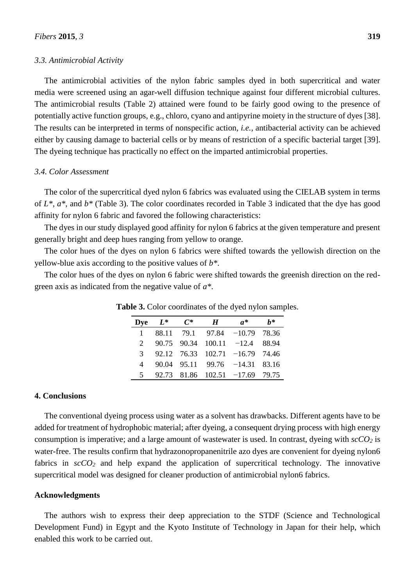#### *3.3. Antimicrobial Activity*

The antimicrobial activities of the nylon fabric samples dyed in both supercritical and water media were screened using an agar-well diffusion technique against four different microbial cultures. The antimicrobial results (Table 2) attained were found to be fairly good owing to the presence of potentially active function groups, e.g., chloro, cyano and antipyrine moiety in the structure of dyes [38]. The results can be interpreted in terms of nonspecific action, *i.e.*, antibacterial activity can be achieved either by causing damage to bacterial cells or by means of restriction of a specific bacterial target [39]. The dyeing technique has practically no effect on the imparted antimicrobial properties.

# *3.4. Color Assessment*

The color of the supercritical dyed nylon 6 fabrics was evaluated using the CIELAB system in terms of *L\**, *a\**, and *b\** (Table 3). The color coordinates recorded in Table 3 indicated that the dye has good affinity for nylon 6 fabric and favored the following characteristics:

The dyes in our study displayed good affinity for nylon 6 fabrics at the given temperature and present generally bright and deep hues ranging from yellow to orange.

The color hues of the dyes on nylon 6 fabrics were shifted towards the yellowish direction on the yellow-blue axis according to the positive values of *b\**.

The color hues of the dyes on nylon 6 fabric were shifted towards the greenish direction on the redgreen axis as indicated from the negative value of *a\**.

|             | Dye $L^*$ | $C^*$ | $\boldsymbol{H}$ | $a^*$                               | h* |
|-------------|-----------|-------|------------------|-------------------------------------|----|
|             |           |       |                  | $1$ 88.11 79.1 97.84 -10.79 78.36   |    |
| $2^{\circ}$ |           |       |                  | 90.75 90.34 100.11 -12.4 88.94      |    |
|             |           |       |                  | 3 92.12 76.33 102.71 -16.79 74.46   |    |
|             |           |       |                  | 4 90.04 95.11 99.76 -14.31 83.16    |    |
|             |           |       |                  | $5$ 92.73 81.86 102.51 -17.69 79.75 |    |

**Table 3.** Color coordinates of the dyed nylon samples.

## **4. Conclusions**

The conventional dyeing process using water as a solvent has drawbacks. Different agents have to be added for treatment of hydrophobic material; after dyeing, a consequent drying process with high energy consumption is imperative; and a large amount of wastewater is used. In contrast, dyeing with *scCO<sup>2</sup>* is water-free. The results confirm that hydrazonopropanenitrile azo dyes are convenient for dyeing nylon6 fabrics in  $\sec 0_2$  and help expand the application of supercritical technology. The innovative supercritical model was designed for cleaner production of antimicrobial nylon6 fabrics.

#### **Acknowledgments**

The authors wish to express their deep appreciation to the STDF (Science and Technological Development Fund) in Egypt and the Kyoto Institute of Technology in Japan for their help, which enabled this work to be carried out.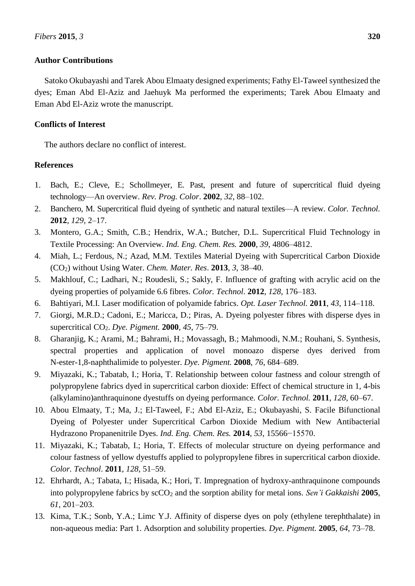# **Author Contributions**

Satoko Okubayashi and Tarek Abou Elmaaty designed experiments; Fathy El-Taweel synthesized the dyes; Eman Abd El-Aziz and Jaehuyk Ma performed the experiments; Tarek Abou Elmaaty and Eman Abd El-Aziz wrote the manuscript.

# **Conflicts of Interest**

The authors declare no conflict of interest.

# **References**

- 1. Bach, E.; Cleve, E.; Schollmeyer, E. Past, present and future of supercritical fluid dyeing technology—An overview. *Rev. Prog. Color*. **2002**, *32*, 88–102.
- 2. Banchero, M. Supercritical fluid dyeing of synthetic and natural textiles—A review. *Color. Technol.* **2012**, *129*, 2–17.
- 3. Montero, G.A.; Smith, C.B.; Hendrix, W.A.; Butcher, D.L. Supercritical Fluid Technology in Textile Processing: An Overview. *Ind. Eng. Chem. Res.* **2000**, *39*, 4806–4812.
- 4. Miah, L.; Ferdous, N.; Azad, M.M. Textiles Material Dyeing with Supercritical Carbon Dioxide (CO2) without Using Water. *Chem. Mater. Res*. **2013**, *3*, 38–40.
- 5. Makhlouf, C.; Ladhari, N.; Roudesli, S.; Sakly, F. Influence of grafting with acrylic acid on the dyeing properties of polyamide 6.6 fibres. *Color. Technol*. **2012**, *128*, 176–183.
- 6. Bahtiyari, M.I. Laser modification of polyamide fabrics. *Opt. Laser Technol.* **2011**, *43*, 114–118.
- 7. Giorgi, M.R.D.; Cadoni, E.; Maricca, D.; Piras, A. Dyeing polyester fibres with disperse dyes in supercritical CO2. *Dye. Pigment.* **2000**, *45*, 75–79.
- 8. Gharanjig, K.; Arami, M.; Bahrami, H.; Movassagh, B.; Mahmoodi, N.M.; Rouhani, S. Synthesis, spectral properties and application of novel monoazo disperse dyes derived from N-ester-1,8-naphthalimide to polyester. *Dye. Pigment.* **2008**, *76*, 684–689.
- 9. Miyazaki, K.; Tabatab, I.; Horia, T. Relationship between colour fastness and colour strength of polypropylene fabrics dyed in supercritical carbon dioxide: Effect of chemical structure in 1, 4-bis (alkylamino)anthraquinone dyestuffs on dyeing performance. *Color. Technol.* **2011**, *128*, 60–67.
- 10. Abou Elmaaty, T.; Ma, J.; El-Taweel, F.; Abd El-Aziz, E.; Okubayashi, S. Facile Bifunctional Dyeing of Polyester under Supercritical Carbon Dioxide Medium with New Antibacterial Hydrazono Propanenitrile Dyes. *Ind. Eng. Chem. Res.* **2014**, *53*, 15566−15570.
- 11. Miyazaki, K.; Tabatab, I.; Horia, T. Effects of molecular structure on dyeing performance and colour fastness of yellow dyestuffs applied to polypropylene fibres in supercritical carbon dioxide. *Color. Technol*. **2011**, *128*, 51–59.
- 12. Ehrhardt, A.; Tabata, I.; Hisada, K.; Hori, T. Impregnation of hydroxy-anthraquinone compounds into polypropylene fabrics by  $\sec O_2$  and the sorption ability for metal ions. *Sen'i Gakkaishi* 2005, *61*, 201–203.
- 13. Kima, T.K.; Sonb, Y.A.; Limc Y.J. Affinity of disperse dyes on poly (ethylene terephthalate) in non-aqueous media: Part 1. Adsorption and solubility properties. *Dye. Pigment.* **2005**, *64*, 73–78.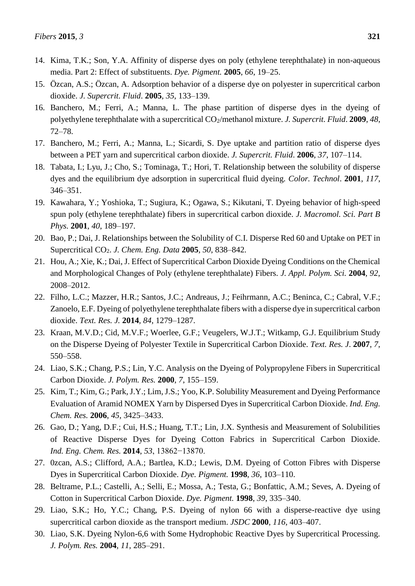- 14. Kima, T.K.; Son, Y.A. Affinity of disperse dyes on poly (ethylene terephthalate) in non-aqueous media. Part 2: Effect of substituents. *Dye. Pigment.* **2005**, *66*, 19–25.
- 15. Özcan, A.S.; Özcan, A. Adsorption behavior of a disperse dye on polyester in supercritical carbon dioxide. *J. Supercrit. Fluid*. **2005**, *35*, 133–139.
- 16. Banchero, M.; Ferri, A.; Manna, L. The phase partition of disperse dyes in the dyeing of polyethylene terephthalate with a supercritical CO<sub>2</sub>/methanol mixture. *J. Supercrit. Fluid.* **2009**, 48, 72–78.
- 17. Banchero, M.; Ferri, A.; Manna, L.; Sicardi, S. Dye uptake and partition ratio of disperse dyes between a PET yarn and supercritical carbon dioxide. *J. Supercrit. Fluid*. **2006**, *37*, 107–114.
- 18. Tabata, I.; Lyu, J.; Cho, S.; Tominaga, T.; Hori, T. Relationship between the solubility of disperse dyes and the equilibrium dye adsorption in supercritical fluid dyeing. *Color. Technol*. **2001**, *117*, 346–351.
- 19. Kawahara, Y.; Yoshioka, T.; Sugiura, K.; Ogawa, S.; Kikutani, T. Dyeing behavior of high-speed spun poly (ethylene terephthalate) fibers in supercritical carbon dioxide. *J. Macromol. Sci. Part B Phys.* **2001**, *40*, 189–197.
- 20. Bao, P.; Dai, J. Relationships between the Solubility of C.I. Disperse Red 60 and Uptake on PET in Supercritical CO2. *J. Chem. Eng. Data* **2005**, *50*, 838–842.
- 21. Hou, A.; Xie, K.; Dai, J. Effect of Supercritical Carbon Dioxide Dyeing Conditions on the Chemical and Morphological Changes of Poly (ethylene terephthalate) Fibers. *J. Appl. Polym. Sci.* **2004**, *92*, 2008–2012.
- 22. Filho, L.C.; Mazzer, H.R.; Santos, J.C.; Andreaus, J.; Feihrmann, A.C.; Beninca, C.; Cabral, V.F.; Zanoelo, E.F. Dyeing of polyethylene terephthalate fibers with a disperse dye in supercritical carbon dioxide. *Text. Res. J.* **2014**, *84*, 1279–1287.
- 23. Kraan, M.V.D.; Cid, M.V.F.; Woerlee, G.F.; Veugelers, W.J.T.; Witkamp, G.J. Equilibrium Study on the Disperse Dyeing of Polyester Textile in Supercritical Carbon Dioxide. *Text. Res. J*. **2007**, *7*, 550–558.
- 24. Liao, S.K.; Chang, P.S.; Lin, Y.C. Analysis on the Dyeing of Polypropylene Fibers in Supercritical Carbon Dioxide. *J. Polym. Res.* **2000**, *7*, 155–159.
- 25. Kim, T.; Kim, G.; Park, J.Y.; Lim, J.S.; Yoo, K.P. Solubility Measurement and Dyeing Performance Evaluation of Aramid NOMEX Yarn by Dispersed Dyes in Supercritical Carbon Dioxide. *Ind. Eng. Chem. Res.* **2006**, *45*, 3425–3433.
- 26. Gao, D.; Yang, D.F.; Cui, H.S.; Huang, T.T.; Lin, J.X. Synthesis and Measurement of Solubilities of Reactive Disperse Dyes for Dyeing Cotton Fabrics in Supercritical Carbon Dioxide. *Ind. Eng. Chem. Res.* **2014**, *53*, 13862−13870.
- 27. 0zcan, A.S.; Clifford, A.A.; Bartlea, K.D.; Lewis, D.M. Dyeing of Cotton Fibres with Disperse Dyes in Supercritical Carbon Dioxide. *Dye. Pigment.* **1998**, *36*, 103–110.
- 28. Beltrame, P.L.; Castelli, A.; Selli, E.; Mossa, A.; Testa, G.; Bonfattic, A.M.; Seves, A. Dyeing of Cotton in Supercritical Carbon Dioxide. *Dye. Pigment.* **1998**, *39*, 335–340.
- 29. Liao, S.K.; Ho, Y.C.; Chang, P.S. Dyeing of nylon 66 with a disperse-reactive dye using supercritical carbon dioxide as the transport medium. *JSDC* **2000**, *116*, 403–407.
- 30. Liao, S.K. Dyeing Nylon-6,6 with Some Hydrophobic Reactive Dyes by Supercritical Processing. *J. Polym. Res.* **2004**, *11*, 285–291.